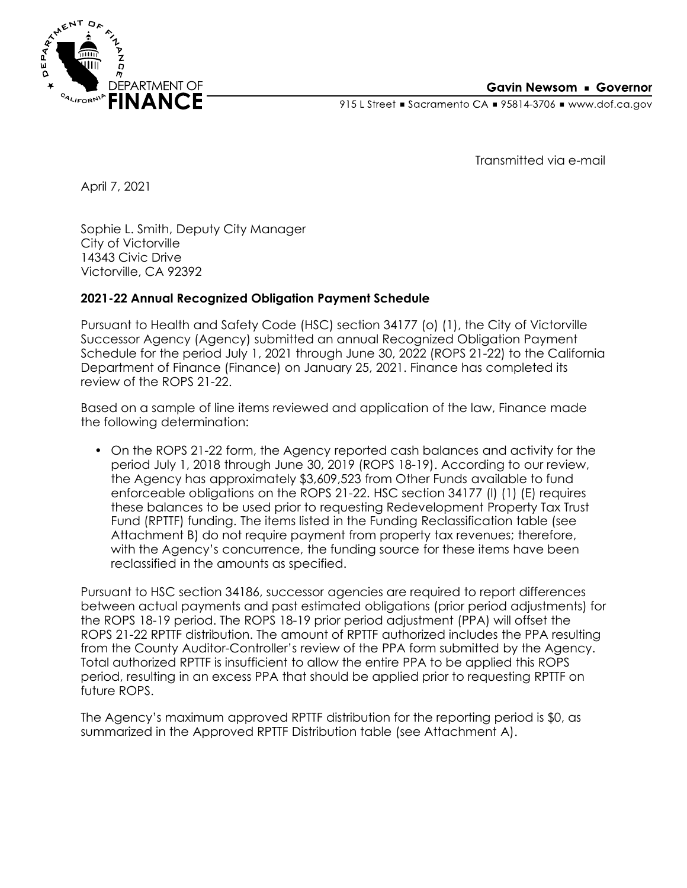

915 L Street Gacramento CA = 95814-3706 Www.dof.ca.gov

Transmitted via e-mail

April 7, 2021

Sophie L. Smith, Deputy City Manager City of Victorville 14343 Civic Drive Victorville, CA 92392

### **2021-22 Annual Recognized Obligation Payment Schedule**

Pursuant to Health and Safety Code (HSC) section 34177 (o) (1), the City of Victorville Successor Agency (Agency) submitted an annual Recognized Obligation Payment Schedule for the period July 1, 2021 through June 30, 2022 (ROPS 21-22) to the California Department of Finance (Finance) on January 25, 2021. Finance has completed its review of the ROPS 21-22.

Based on a sample of line items reviewed and application of the law, Finance made the following determination:

• On the ROPS 21-22 form, the Agency reported cash balances and activity for the period July 1, 2018 through June 30, 2019 (ROPS 18-19). According to our review, the Agency has approximately \$3,609,523 from Other Funds available to fund enforceable obligations on the ROPS 21-22. HSC section 34177 (l) (1) (E) requires these balances to be used prior to requesting Redevelopment Property Tax Trust Fund (RPTTF) funding. The items listed in the Funding Reclassification table (see Attachment B) do not require payment from property tax revenues; therefore, with the Agency's concurrence, the funding source for these items have been reclassified in the amounts as specified.

Pursuant to HSC section 34186, successor agencies are required to report differences between actual payments and past estimated obligations (prior period adjustments) for the ROPS 18-19 period. The ROPS 18-19 prior period adjustment (PPA) will offset the ROPS 21-22 RPTTF distribution. The amount of RPTTF authorized includes the PPA resulting from the County Auditor-Controller's review of the PPA form submitted by the Agency. Total authorized RPTTF is insufficient to allow the entire PPA to be applied this ROPS period, resulting in an excess PPA that should be applied prior to requesting RPTTF on future ROPS.

The Agency's maximum approved RPTTF distribution for the reporting period is \$0, as summarized in the Approved RPTTF Distribution table (see Attachment A).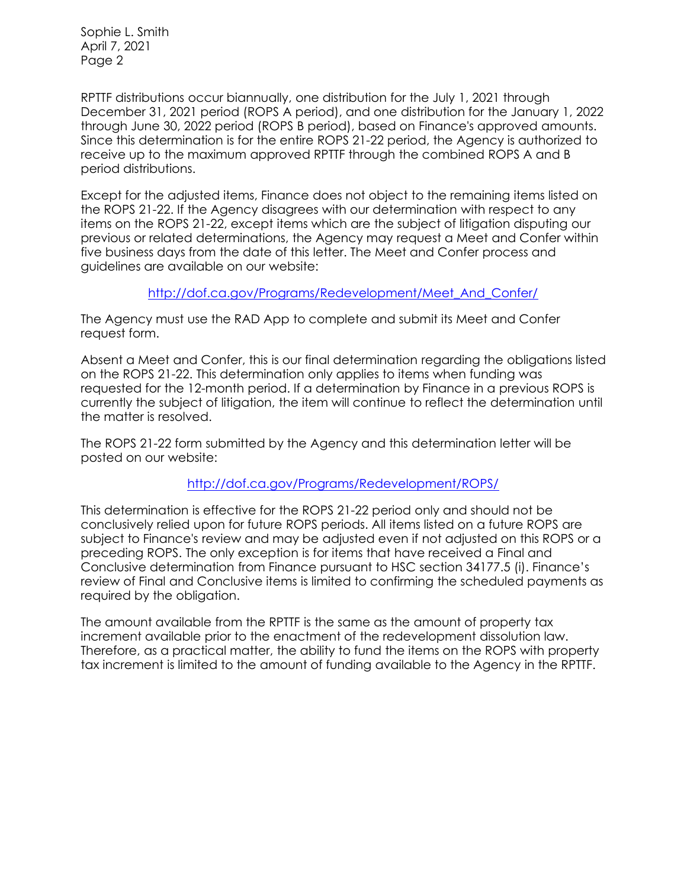Sophie L. Smith April 7, 2021 Page 2

RPTTF distributions occur biannually, one distribution for the July 1, 2021 through December 31, 2021 period (ROPS A period), and one distribution for the January 1, 2022 through June 30, 2022 period (ROPS B period), based on Finance's approved amounts. Since this determination is for the entire ROPS 21-22 period, the Agency is authorized to receive up to the maximum approved RPTTF through the combined ROPS A and B period distributions.

Except for the adjusted items, Finance does not object to the remaining items listed on the ROPS 21-22. If the Agency disagrees with our determination with respect to any items on the ROPS 21-22, except items which are the subject of litigation disputing our previous or related determinations, the Agency may request a Meet and Confer within five business days from the date of this letter. The Meet and Confer process and guidelines are available on our website:

[http://dof.ca.gov/Programs/Redevelopment/Meet\\_And\\_Confer/](http://dof.ca.gov/Programs/Redevelopment/Meet_And_Confer/) 

The Agency must use the RAD App to complete and submit its Meet and Confer request form.

Absent a Meet and Confer, this is our final determination regarding the obligations listed on the ROPS 21-22. This determination only applies to items when funding was requested for the 12-month period. If a determination by Finance in a previous ROPS is currently the subject of litigation, the item will continue to reflect the determination until the matter is resolved.

The ROPS 21-22 form submitted by the Agency and this determination letter will be posted on our website:

#### <http://dof.ca.gov/Programs/Redevelopment/ROPS/>

This determination is effective for the ROPS 21-22 period only and should not be conclusively relied upon for future ROPS periods. All items listed on a future ROPS are subject to Finance's review and may be adjusted even if not adjusted on this ROPS or a preceding ROPS. The only exception is for items that have received a Final and Conclusive determination from Finance pursuant to HSC section 34177.5 (i). Finance's review of Final and Conclusive items is limited to confirming the scheduled payments as required by the obligation.

The amount available from the RPTTF is the same as the amount of property tax increment available prior to the enactment of the redevelopment dissolution law. Therefore, as a practical matter, the ability to fund the items on the ROPS with property tax increment is limited to the amount of funding available to the Agency in the RPTTF.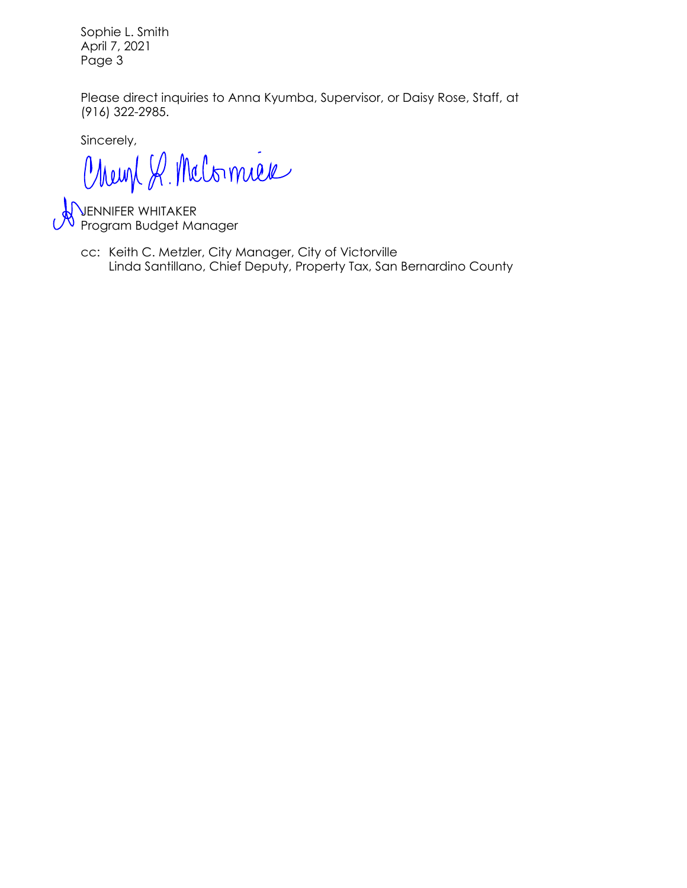Sophie L. Smith April 7, 2021 Page 3

Please direct inquiries to Anna Kyumba, Supervisor, or Daisy Rose, Staff, at (916) 322-2985.

Sincerely,

Chemp R. Melomier

JENNIFER WHITAKER Program Budget Manager

Linda Santillano, Chief Deputy, Property Tax, San Bernardino County cc: Keith C. Metzler, City Manager, City of Victorville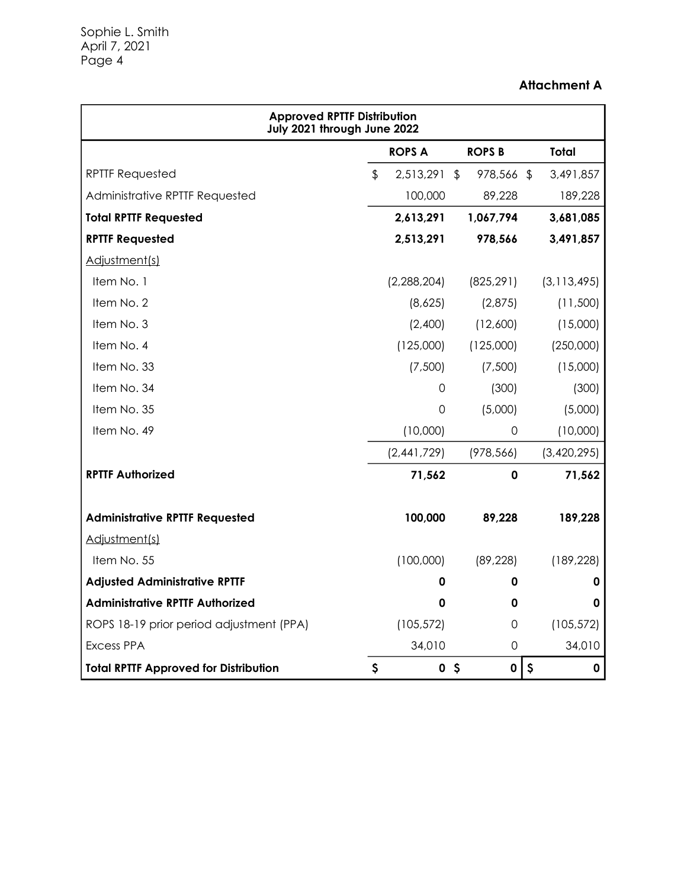## **Attachment A**

| <b>Approved RPTTF Distribution</b><br>July 2021 through June 2022 |                           |               |                |               |    |               |  |  |
|-------------------------------------------------------------------|---------------------------|---------------|----------------|---------------|----|---------------|--|--|
|                                                                   |                           | <b>ROPS A</b> |                | <b>ROPS B</b> |    | <b>Total</b>  |  |  |
| <b>RPTTF Requested</b>                                            | $\boldsymbol{\mathsf{L}}$ | 2,513,291 \$  |                | 978,566 \$    |    | 3,491,857     |  |  |
| Administrative RPTTF Requested                                    |                           | 100,000       |                | 89,228        |    | 189,228       |  |  |
| <b>Total RPTTF Requested</b>                                      |                           | 2,613,291     |                | 1,067,794     |    | 3,681,085     |  |  |
| <b>RPTTF Requested</b>                                            |                           | 2,513,291     |                | 978,566       |    | 3,491,857     |  |  |
| Adjustment(s)                                                     |                           |               |                |               |    |               |  |  |
| Item No. 1                                                        |                           | (2,288,204)   |                | (825, 291)    |    | (3, 113, 495) |  |  |
| Item No. 2                                                        |                           | (8,625)       |                | (2,875)       |    | (11,500)      |  |  |
| Item No. 3                                                        |                           | (2,400)       |                | (12,600)      |    | (15,000)      |  |  |
| Item No. 4                                                        |                           | (125,000)     |                | (125,000)     |    | (250,000)     |  |  |
| Item No. 33                                                       |                           | (7,500)       |                | (7,500)       |    | (15,000)      |  |  |
| Item No. 34                                                       |                           | 0             |                | (300)         |    | (300)         |  |  |
| Item No. 35                                                       |                           | $\Omega$      |                | (5,000)       |    | (5,000)       |  |  |
| Item No. 49                                                       |                           | (10,000)      |                | 0             |    | (10,000)      |  |  |
|                                                                   |                           | (2,441,729)   |                | (978, 566)    |    | (3,420,295)   |  |  |
| <b>RPTTF Authorized</b>                                           |                           | 71,562        |                | 0             |    | 71,562        |  |  |
| <b>Administrative RPTTF Requested</b>                             |                           | 100,000       |                | 89,228        |    | 189,228       |  |  |
| Adjustment(s)                                                     |                           |               |                |               |    |               |  |  |
| Item No. 55                                                       |                           | (100,000)     |                | (89, 228)     |    | (189, 228)    |  |  |
| <b>Adjusted Administrative RPTTF</b>                              |                           | 0             |                | 0             |    | 0             |  |  |
| <b>Administrative RPTTF Authorized</b>                            |                           | 0             |                | 0             |    | 0             |  |  |
| ROPS 18-19 prior period adjustment (PPA)                          |                           | (105, 572)    |                | 0             |    | (105, 572)    |  |  |
| <b>Excess PPA</b>                                                 |                           | 34,010        |                | 0             |    | 34,010        |  |  |
| <b>Total RPTTF Approved for Distribution</b>                      | \$                        |               | 0 <sup>5</sup> | $\pmb{0}$     | \$ | $\mathbf 0$   |  |  |